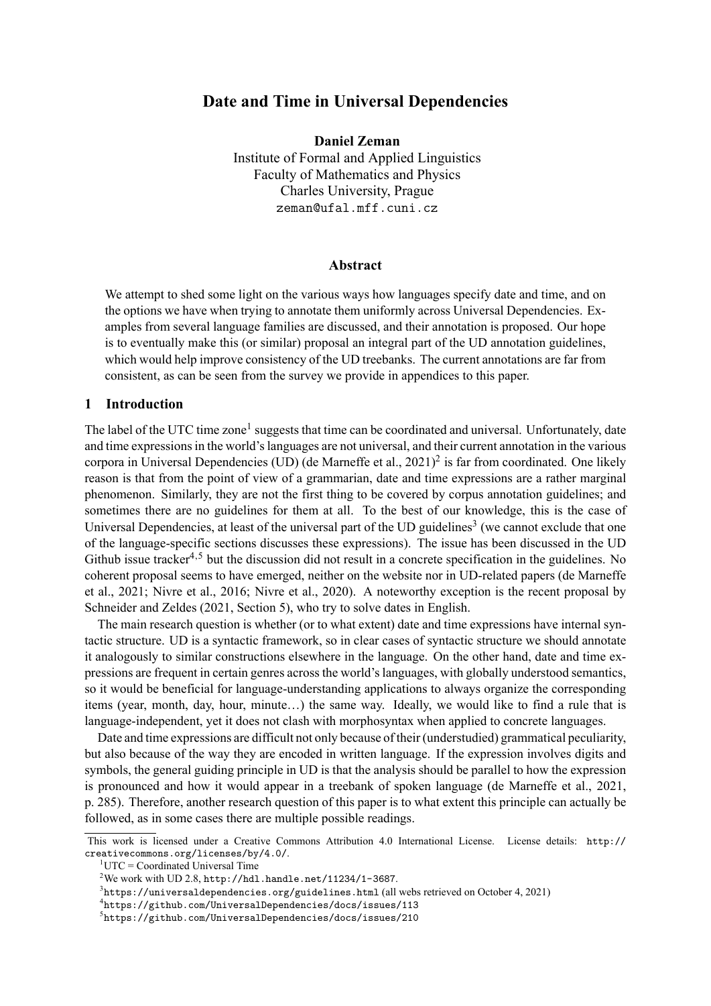# **Date and Time in Universal Dependencies**

**Daniel Zeman** Institute of Formal and Applied Linguistics Faculty of Mathematics and Physics Charles University, Prague zeman@ufal.mff.cuni.cz

### **Abstract**

We attempt to shed some light on the various ways how languages specify date and time, and on the options we have when trying to annotate them uniformly across Universal Dependencies. Examples from several language families are discussed, and their annotation is proposed. Our hope is to eventually make this (or similar) proposal an integral part of the UD annotation guidelines, which would help improve consistency of the UD treebanks. The current annotations are far from consistent, as can be seen from the survey we provide in appendices to this paper.

## **1 Introduction**

The label of the UTC time zone<sup>1</sup> suggests that time can be coordinated and universal. Unfortunately, date and time expressions in the world's languages are not universal, and their current annotation in the various corpora in Universal Dependencies (UD) (de Marneffe et al., 2021)<sup>2</sup> is far from coordinated. One likely reason is that from the point of view of a grammarian, date and time expressions are a rather marginal phenomenon. Similarly, they are not the first thing to be covered by corpus annotation guidelines; and sometimes there are no guidelines for them at all. To the best of our knowledge, this is the case of Universal Dependencies, at least of the universal part of the UD guidelines<sup>3</sup> (we cannot exclude that one of the language-specific sections discusses these expressions). The issue has been discussed in the UD Github issue tracker<sup>4,5</sup> but the discussion did not result in a concrete specification in the guidelines. No coherent proposal seems to have emerged, neither on the website nor in UD-related papers (de Marneffe et al., 2021; Nivre et al., 2016; Nivre et al., 2020). A noteworthy exception is the recent proposal by Schneider and Zeldes (2021, Section 5), who try to solve dates in English.

The main research question is whether (or to what extent) date and time expressions have internal syntactic structure. UD is a syntactic framework, so in clear cases of syntactic structure we should annotate it analogously to similar constructions elsewhere in the language. On the other hand, date and time expressions are frequent in certain genres across the world's languages, with globally understood semantics, so it would be beneficial for language-understanding applications to always organize the corresponding items (year, month, day, hour, minute…) the same way. Ideally, we would like to find a rule that is language-independent, yet it does not clash with morphosyntax when applied to concrete languages.

Date and time expressions are difficult not only because of their (understudied) grammatical peculiarity, but also because of the way they are encoded in written language. If the expression involves digits and symbols, the general guiding principle in UD is that the analysis should be parallel to how the expression is pronounced and how it would appear in a treebank of spoken language (de Marneffe et al., 2021, p. 285). Therefore, another research question of this paper is to what extent this principle can actually be followed, as in some cases there are multiple possible readings.

This work is licensed under a Creative Commons Attribution 4.0 International License. License details: http:// creativecommons.org/licenses/by/4.0/.

 $1$ UTC = Coordinated Universal Time

 $2$ We work with UD 2.8, http://hdl.handle.net/11234/1-3687.

 $^3$ https://universaldependencies.org/guidelines.html (all webs retrieved on October 4, 2021)

<sup>4</sup> https://github.com/UniversalDependencies/docs/issues/113

<sup>5</sup> https://github.com/UniversalDependencies/docs/issues/210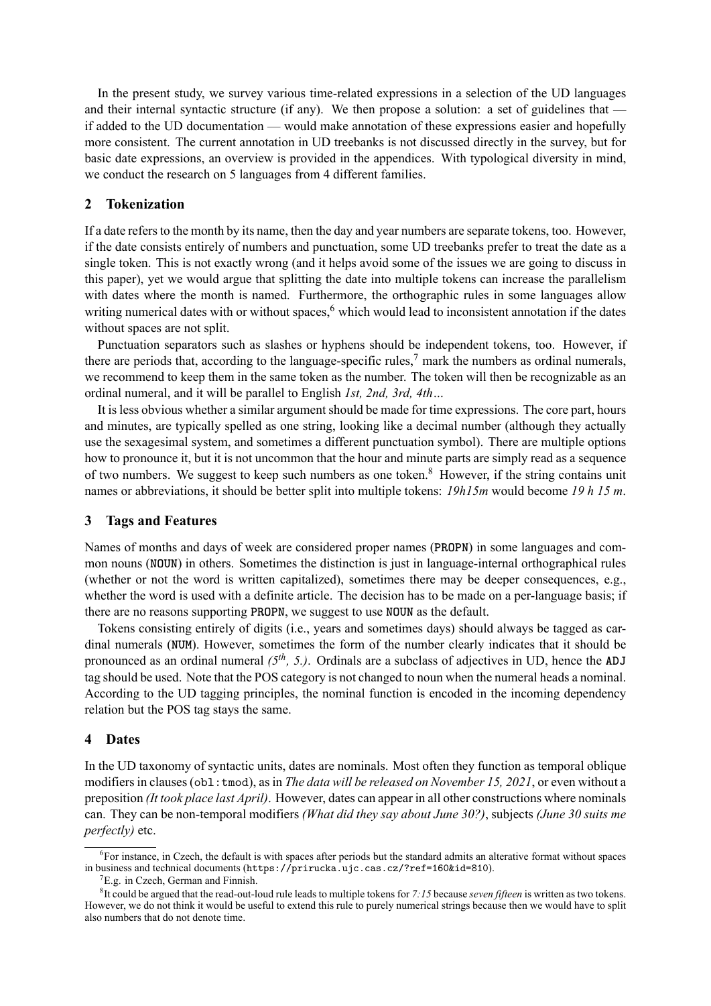In the present study, we survey various time-related expressions in a selection of the UD languages and their internal syntactic structure (if any). We then propose a solution: a set of guidelines that if added to the UD documentation — would make annotation of these expressions easier and hopefully more consistent. The current annotation in UD treebanks is not discussed directly in the survey, but for basic date expressions, an overview is provided in the appendices. With typological diversity in mind, we conduct the research on 5 languages from 4 different families.

## **2 Tokenization**

If a date refers to the month by its name, then the day and year numbers are separate tokens, too. However, if the date consists entirely of numbers and punctuation, some UD treebanks prefer to treat the date as a single token. This is not exactly wrong (and it helps avoid some of the issues we are going to discuss in this paper), yet we would argue that splitting the date into multiple tokens can increase the parallelism with dates where the month is named. Furthermore, the orthographic rules in some languages allow writing numerical dates with or without spaces,  $6$  which would lead to inconsistent annotation if the dates without spaces are not split.

Punctuation separators such as slashes or hyphens should be independent tokens, too. However, if there are periods that, according to the language-specific rules,<sup>7</sup> mark the numbers as ordinal numerals, we recommend to keep them in the same token as the number. The token will then be recognizable as an ordinal numeral, and it will be parallel to English *1st, 2nd, 3rd, 4th…*

It is less obvious whether a similar argument should be made for time expressions. The core part, hours and minutes, are typically spelled as one string, looking like a decimal number (although they actually use the sexagesimal system, and sometimes a different punctuation symbol). There are multiple options how to pronounce it, but it is not uncommon that the hour and minute parts are simply read as a sequence of two numbers. We suggest to keep such numbers as one token.<sup>8</sup> However, if the string contains unit names or abbreviations, it should be better split into multiple tokens: *19h15m* would become *19 h 15 m*.

### **3 Tags and Features**

Names of months and days of week are considered proper names (**PROPN**) in some languages and common nouns (**NOUN**) in others. Sometimes the distinction is just in language-internal orthographical rules (whether or not the word is written capitalized), sometimes there may be deeper consequences, e.g., whether the word is used with a definite article. The decision has to be made on a per-language basis; if there are no reasons supporting **PROPN**, we suggest to use **NOUN** as the default.

Tokens consisting entirely of digits (i.e., years and sometimes days) should always be tagged as cardinal numerals (**NUM**). However, sometimes the form of the number clearly indicates that it should be pronounced as an ordinal numeral *(5th, 5.)*. Ordinals are a subclass of adjectives in UD, hence the **ADJ** tag should be used. Note that the POS category is not changed to noun when the numeral heads a nominal. According to the UD tagging principles, the nominal function is encoded in the incoming dependency relation but the POS tag stays the same.

### **4 Dates**

In the UD taxonomy of syntactic units, dates are nominals. Most often they function as temporal oblique modifiers in clauses (obl:tmod), as in *The data will be released on November 15, 2021*, or even without a preposition *(It took place last April)*. However, dates can appear in all other constructions where nominals can. They can be non-temporal modifiers *(What did they say about June 30?)*, subjects *(June 30 suits me perfectly)* etc.

<sup>&</sup>lt;sup>6</sup>For instance, in Czech, the default is with spaces after periods but the standard admits an alterative format without spaces in business and technical documents (https://prirucka.ujc.cas.cz/?ref=160&id=810).

 ${}^{7}E.g.$  in Czech, German and Finnish.

<sup>8</sup> It could be argued that the read-out-loud rule leads to multiple tokens for *7:15* because *seven fifteen* is written as two tokens. However, we do not think it would be useful to extend this rule to purely numerical strings because then we would have to split also numbers that do not denote time.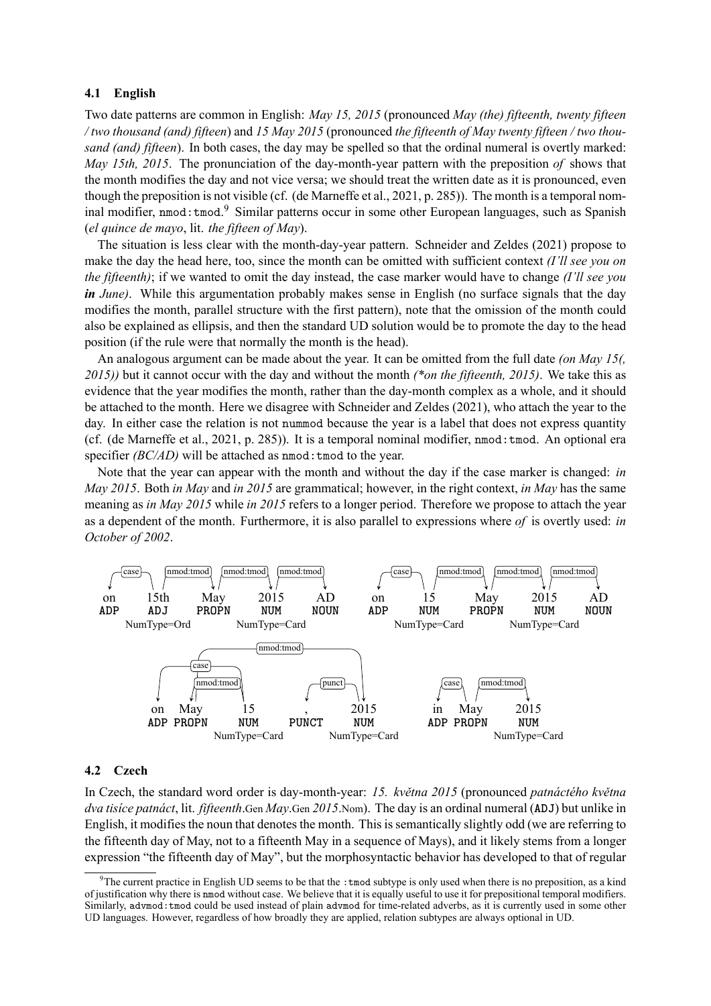### **4.1 English**

Two date patterns are common in English: *May 15, 2015* (pronounced *May (the) fifteenth, twenty fifteen / two thousand (and) fifteen*) and *15 May 2015* (pronounced *the fifteenth of May twenty fifteen / two thousand (and) fifteen*). In both cases, the day may be spelled so that the ordinal numeral is overtly marked: *May 15th, 2015*. The pronunciation of the day-month-year pattern with the preposition *of* shows that the month modifies the day and not vice versa; we should treat the written date as it is pronounced, even though the preposition is not visible (cf. (de Marneffe et al., 2021, p. 285)). The month is a temporal nominal modifier, nmod: tmod.<sup>9</sup> Similar patterns occur in some other European languages, such as Spanish (*el quince de mayo*, lit. *the fifteen of May*).

The situation is less clear with the month-day-year pattern. Schneider and Zeldes (2021) propose to make the day the head here, too, since the month can be omitted with sufficient context *(I'll see you on the fifteenth)*; if we wanted to omit the day instead, the case marker would have to change *(I'll see you in June*). While this argumentation probably makes sense in English (no surface signals that the day modifies the month, parallel structure with the first pattern), note that the omission of the month could also be explained as ellipsis, and then the standard UD solution would be to promote the day to the head position (if the rule were that normally the month is the head).

An analogous argument can be made about the year. It can be omitted from the full date *(on May 15(, 2015))* but it cannot occur with the day and without the month *(\*on the fifteenth, 2015)*. We take this as evidence that the year modifies the month, rather than the day-month complex as a whole, and it should be attached to the month. Here we disagree with Schneider and Zeldes (2021), who attach the year to the day. In either case the relation is not nummod because the year is a label that does not express quantity (cf. (de Marneffe et al., 2021, p. 285)). It is a temporal nominal modifier, nmod:tmod. An optional era specifier *(BC/AD)* will be attached as nmod: tmod to the year.

Note that the year can appear with the month and without the day if the case marker is changed: *in May 2015*. Both *in May* and *in 2015* are grammatical; however, in the right context, *in May* has the same meaning as *in May 2015* while *in 2015* refers to a longer period. Therefore we propose to attach the year as a dependent of the month. Furthermore, it is also parallel to expressions where *of* is overtly used: *in October of 2002*.



#### **4.2 Czech**

In Czech, the standard word order is day-month-year: *15. května 2015* (pronounced *patnáctého května dva tisíce patnáct*, lit. *fifteenth*.Gen *May*.Gen *2015*.Nom). The day is an ordinal numeral (**ADJ**) but unlike in English, it modifies the noun that denotes the month. This is semantically slightly odd (we are referring to the fifteenth day of May, not to a fifteenth May in a sequence of Mays), and it likely stems from a longer expression "the fifteenth day of May", but the morphosyntactic behavior has developed to that of regular

The current practice in English UD seems to be that the : tmod subtype is only used when there is no preposition, as a kind of justification why there is nmod without case. We believe that it is equally useful to use it for prepositional temporal modifiers. Similarly, advmod:tmod could be used instead of plain advmod for time-related adverbs, as it is currently used in some other UD languages. However, regardless of how broadly they are applied, relation subtypes are always optional in UD.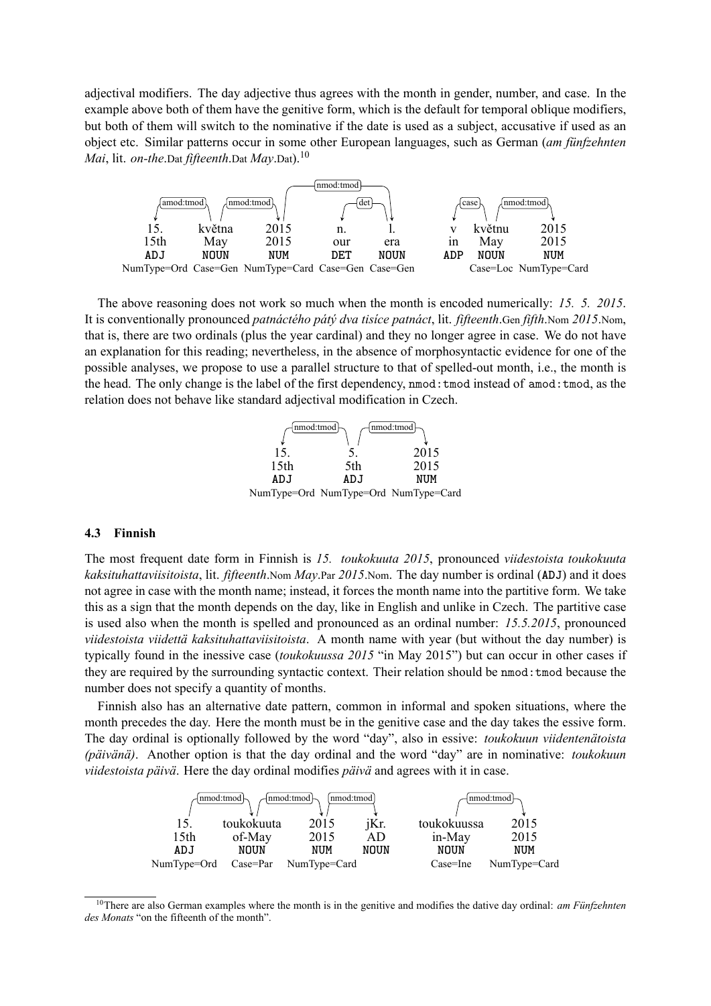adjectival modifiers. The day adjective thus agrees with the month in gender, number, and case. In the example above both of them have the genitive form, which is the default for temporal oblique modifiers, but both of them will switch to the nominative if the date is used as a subject, accusative if used as an object etc. Similar patterns occur in some other European languages, such as German (*am fünfzehnten Mai*, lit. *on-the*.Dat *fifteenth*.Dat *May*.Dat).<sup>10</sup>



The above reasoning does not work so much when the month is encoded numerically: *15. 5. 2015*. It is conventionally pronounced *patnáctého pátý dva tisíce patnáct*, lit. *fifteenth*.Gen *fifth*.Nom *2015*.Nom, that is, there are two ordinals (plus the year cardinal) and they no longer agree in case. We do not have an explanation for this reading; nevertheless, in the absence of morphosyntactic evidence for one of the possible analyses, we propose to use a parallel structure to that of spelled-out month, i.e., the month is the head. The only change is the label of the first dependency, nmod:tmod instead of amod:tmod, as the relation does not behave like standard adjectival modification in Czech.



### **4.3 Finnish**

The most frequent date form in Finnish is *15. toukokuuta 2015*, pronounced *viidestoista toukokuuta kaksituhattaviisitoista*, lit. *fifteenth*.Nom *May*.Par *2015*.Nom. The day number is ordinal (**ADJ**) and it does not agree in case with the month name; instead, it forces the month name into the partitive form. We take this as a sign that the month depends on the day, like in English and unlike in Czech. The partitive case is used also when the month is spelled and pronounced as an ordinal number: *15.5.2015*, pronounced *viidestoista viidettä kaksituhattaviisitoista*. A month name with year (but without the day number) is typically found in the inessive case (*toukokuussa 2015* "in May 2015") but can occur in other cases if they are required by the surrounding syntactic context. Their relation should be nmod:tmod because the number does not specify a quantity of months.

Finnish also has an alternative date pattern, common in informal and spoken situations, where the month precedes the day. Here the month must be in the genitive case and the day takes the essive form. The day ordinal is optionally followed by the word "day", also in essive: *toukokuun viidentenätoista (päivänä)*. Another option is that the day ordinal and the word "day" are in nominative: *toukokuun viidestoista päivä*. Here the day ordinal modifies *päivä* and agrees with it in case.



<sup>10</sup>There are also German examples where the month is in the genitive and modifies the dative day ordinal: *am Fünfzehnten des Monats* "on the fifteenth of the month".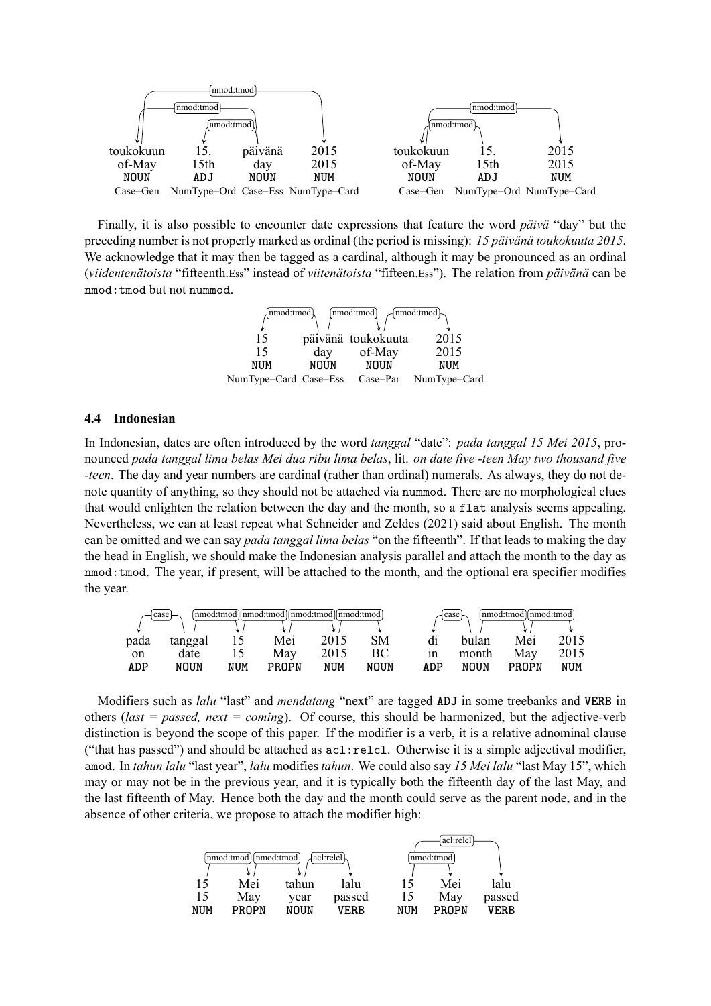

Finally, it is also possible to encounter date expressions that feature the word *päivä* "day" but the preceding number is not properly marked as ordinal (the period is missing): *15 päivänä toukokuuta 2015*. We acknowledge that it may then be tagged as a cardinal, although it may be pronounced as an ordinal (*viidentenätoista* "fifteenth.Ess" instead of *viitenätoista* "fifteen.Ess"). The relation from *päivänä* can be nmod:tmod but not nummod.



#### **4.4 Indonesian**

In Indonesian, dates are often introduced by the word *tanggal* "date": *pada tanggal 15 Mei 2015*, pronounced *pada tanggal lima belas Mei dua ribu lima belas*, lit. *on date five -teen May two thousand five -teen*. The day and year numbers are cardinal (rather than ordinal) numerals. As always, they do not denote quantity of anything, so they should not be attached via nummod. There are no morphological clues that would enlighten the relation between the day and the month, so a flat analysis seems appealing. Nevertheless, we can at least repeat what Schneider and Zeldes (2021) said about English. The month can be omitted and we can say *pada tanggal lima belas* "on the fifteenth". If that leads to making the day the head in English, we should make the Indonesian analysis parallel and attach the month to the day as nmod:tmod. The year, if present, will be attached to the month, and the optional era specifier modifies the year.

|      | case    |     | nmod:tmod    nmod:tmod    nmod:tmod    nmod:tmod |      |      |     | case ⊦ | nmod:tmod    nmod:tmod |      |
|------|---------|-----|--------------------------------------------------|------|------|-----|--------|------------------------|------|
| pada | tanggal |     | Mei                                              | 2015 | SM   | d1  | bulan  | Mei                    | 2015 |
| on   | date    |     | May                                              | 2015 | ВC   | ın  | month  | Mav                    | 2015 |
| ADP  | NOUN    | NUM | <b>PROPN</b>                                     | NUM  | NOUN | ADP | NOUN   | <b>PROPN</b>           | NUM  |

Modifiers such as *lalu* "last" and *mendatang* "next" are tagged **ADJ** in some treebanks and **VERB** in others (*last = passed, next = coming*). Of course, this should be harmonized, but the adjective-verb distinction is beyond the scope of this paper. If the modifier is a verb, it is a relative adnominal clause ("that has passed") and should be attached as acl:relcl. Otherwise it is a simple adjectival modifier, amod. In *tahun lalu* "last year", *lalu* modifies *tahun*. We could also say *15 Mei lalu* "last May 15", which may or may not be in the previous year, and it is typically both the fifteenth day of the last May, and the last fifteenth of May. Hence both the day and the month could serve as the parent node, and in the absence of other criteria, we propose to attach the modifier high:

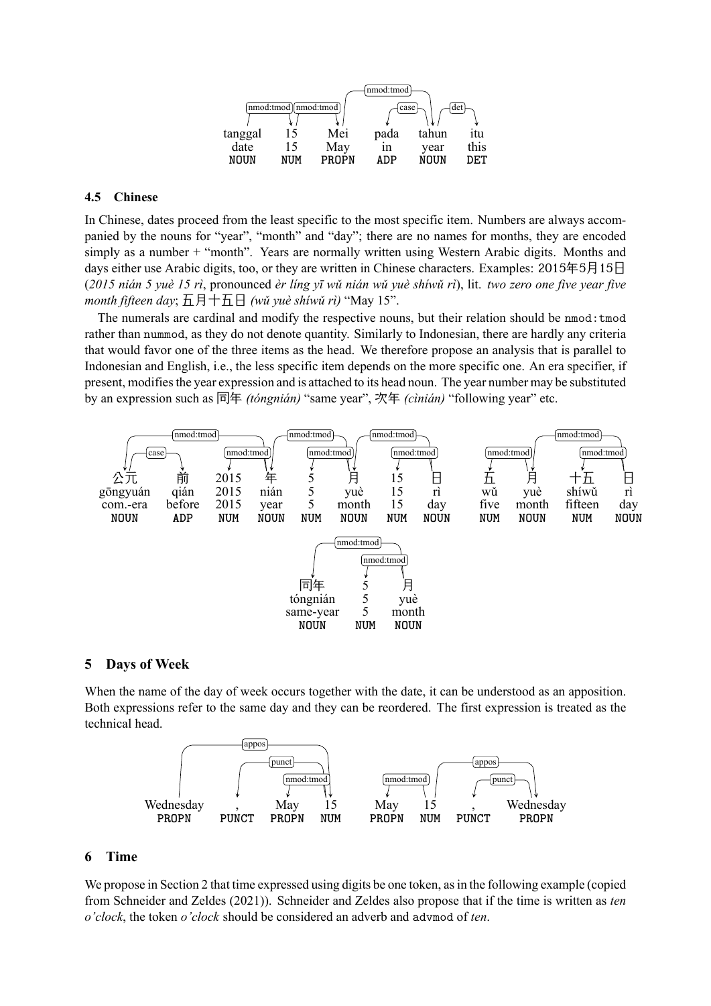

### **4.5 Chinese**

In Chinese, dates proceed from the least specific to the most specific item. Numbers are always accompanied by the nouns for "year", "month" and "day"; there are no names for months, they are encoded simply as a number + "month". Years are normally written using Western Arabic digits. Months and days either use Arabic digits, too, or they are written in Chinese characters. Examples: 2015年5月15日 (*2015 nián 5 yuè 15 rì*, pronounced *èr líng yī wǔ nián wǔ yuè shíwǔ rì*), lit. *two zero one five year five month fifteen day*; 五月十五日 *(wǔ yuè shíwǔ rì)* "May 15".

The numerals are cardinal and modify the respective nouns, but their relation should be nmod: tmod rather than nummod, as they do not denote quantity. Similarly to Indonesian, there are hardly any criteria that would favor one of the three items as the head. We therefore propose an analysis that is parallel to Indonesian and English, i.e., the less specific item depends on the more specific one. An era specifier, if present, modifies the year expression and is attached to its head noun. The year number may be substituted by an expression such as 同年 *(tóngnián)* "same year", 次年 *(cìnián)* "following year" etc.



### **5 Days of Week**

When the name of the day of week occurs together with the date, it can be understood as an apposition. Both expressions refer to the same day and they can be reordered. The first expression is treated as the technical head.



### **6 Time**

We propose in Section 2 that time expressed using digits be one token, as in the following example (copied from Schneider and Zeldes (2021)). Schneider and Zeldes also propose that if the time is written as *ten o'clock*, the token *o'clock* should be considered an adverb and advmod of *ten*.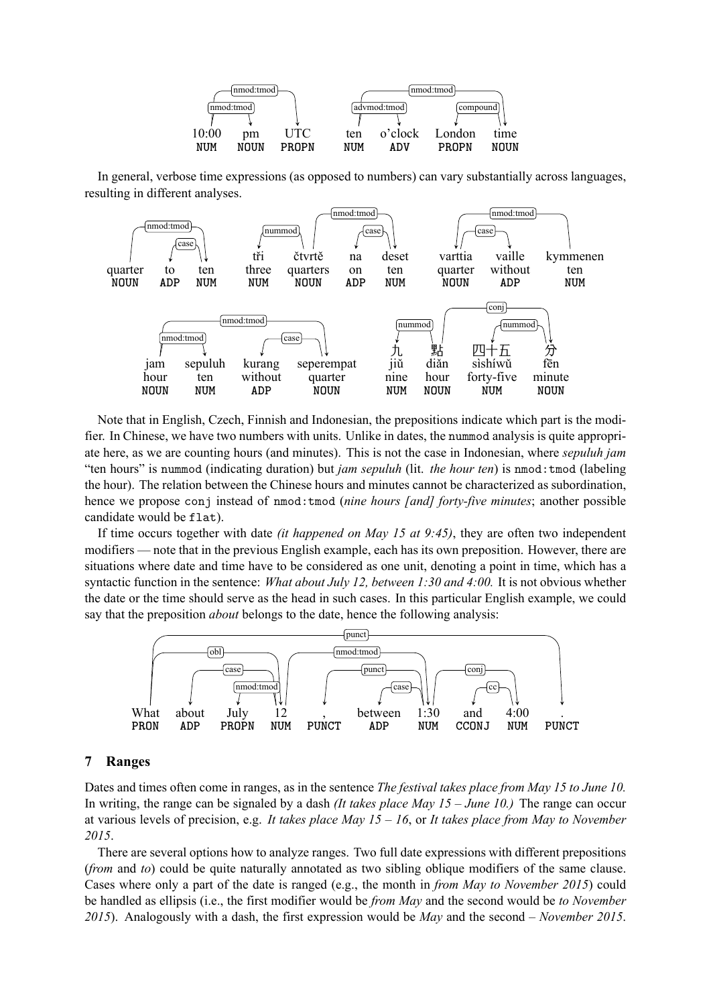

In general, verbose time expressions (as opposed to numbers) can vary substantially across languages, resulting in different analyses.



Note that in English, Czech, Finnish and Indonesian, the prepositions indicate which part is the modifier. In Chinese, we have two numbers with units. Unlike in dates, the nummod analysis is quite appropriate here, as we are counting hours (and minutes). This is not the case in Indonesian, where *sepuluh jam* "ten hours" is nummod (indicating duration) but *jam sepuluh* (lit. *the hour ten*) is nmod:tmod (labeling the hour). The relation between the Chinese hours and minutes cannot be characterized as subordination, hence we propose conj instead of nmod:tmod (*nine hours [and] forty-five minutes*; another possible candidate would be flat).

If time occurs together with date *(it happened on May 15 at 9:45)*, they are often two independent modifiers — note that in the previous English example, each has its own preposition. However, there are situations where date and time have to be considered as one unit, denoting a point in time, which has a syntactic function in the sentence: *What about July 12, between 1:30 and 4:00.* It is not obvious whether the date or the time should serve as the head in such cases. In this particular English example, we could say that the preposition *about* belongs to the date, hence the following analysis:



### **7 Ranges**

Dates and times often come in ranges, as in the sentence *The festival takes place from May 15 to June 10.* In writing, the range can be signaled by a dash *(It takes place May 15 – June 10.)* The range can occur at various levels of precision, e.g. *It takes place May 15 – 16*, or *It takes place from May to November 2015*.

There are several options how to analyze ranges. Two full date expressions with different prepositions (*from* and *to*) could be quite naturally annotated as two sibling oblique modifiers of the same clause. Cases where only a part of the date is ranged (e.g., the month in *from May to November 2015*) could be handled as ellipsis (i.e., the first modifier would be *from May* and the second would be *to November 2015*). Analogously with a dash, the first expression would be *May* and the second *– November 2015*.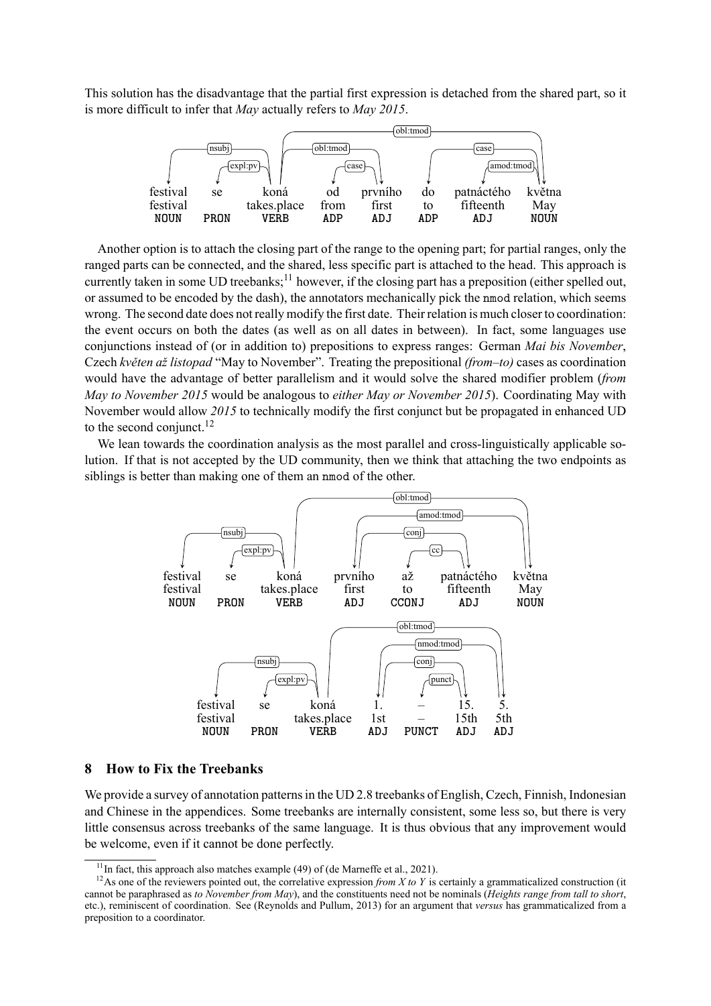This solution has the disadvantage that the partial first expression is detached from the shared part, so it is more difficult to infer that *May* actually refers to *May 2015*.



Another option is to attach the closing part of the range to the opening part; for partial ranges, only the ranged parts can be connected, and the shared, less specific part is attached to the head. This approach is currently taken in some UD treebanks;<sup>11</sup> however, if the closing part has a preposition (either spelled out, or assumed to be encoded by the dash), the annotators mechanically pick the nmod relation, which seems wrong. The second date does not really modify the first date. Their relation is much closer to coordination: the event occurs on both the dates (as well as on all dates in between). In fact, some languages use conjunctions instead of (or in addition to) prepositions to express ranges: German *Mai bis November*, Czech *květen až listopad* "May to November". Treating the prepositional *(from–to)* cases as coordination would have the advantage of better parallelism and it would solve the shared modifier problem (*from May to November 2015* would be analogous to *either May or November 2015*). Coordinating May with November would allow *2015* to technically modify the first conjunct but be propagated in enhanced UD to the second conjunct. $^{12}$ 

We lean towards the coordination analysis as the most parallel and cross-linguistically applicable solution. If that is not accepted by the UD community, then we think that attaching the two endpoints as siblings is better than making one of them an nmod of the other.



### **8 How to Fix the Treebanks**

We provide a survey of annotation patterns in the UD 2.8 treebanks of English, Czech, Finnish, Indonesian and Chinese in the appendices. Some treebanks are internally consistent, some less so, but there is very little consensus across treebanks of the same language. It is thus obvious that any improvement would be welcome, even if it cannot be done perfectly.

<sup>&</sup>lt;sup>11</sup>In fact, this approach also matches example (49) of (de Marneffe et al., 2021).

<sup>&</sup>lt;sup>12</sup>As one of the reviewers pointed out, the correlative expression *from X to Y* is certainly a grammaticalized construction (it cannot be paraphrased as *to November from May*), and the constituents need not be nominals (*Heights range from tall to short*, etc.), reminiscent of coordination. See (Reynolds and Pullum, 2013) for an argument that *versus* has grammaticalized from a preposition to a coordinator.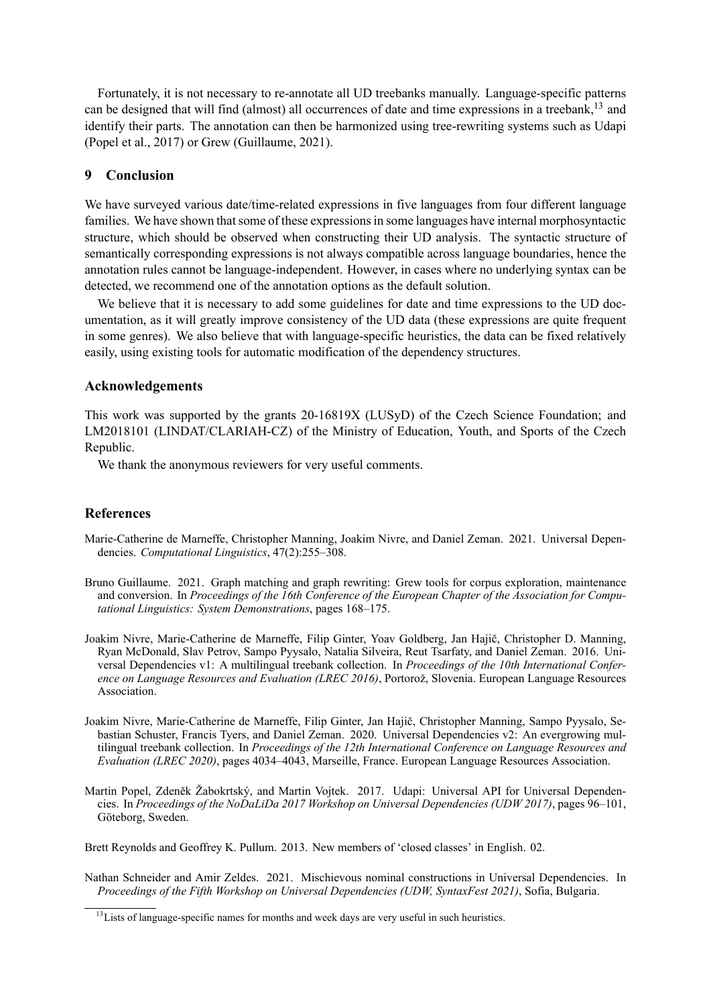Fortunately, it is not necessary to re-annotate all UD treebanks manually. Language-specific patterns can be designed that will find (almost) all occurrences of date and time expressions in a treebank, $^{13}$  and identify their parts. The annotation can then be harmonized using tree-rewriting systems such as Udapi (Popel et al., 2017) or Grew (Guillaume, 2021).

## **9 Conclusion**

We have surveyed various date/time-related expressions in five languages from four different language families. We have shown that some of these expressions in some languages have internal morphosyntactic structure, which should be observed when constructing their UD analysis. The syntactic structure of semantically corresponding expressions is not always compatible across language boundaries, hence the annotation rules cannot be language-independent. However, in cases where no underlying syntax can be detected, we recommend one of the annotation options as the default solution.

We believe that it is necessary to add some guidelines for date and time expressions to the UD documentation, as it will greatly improve consistency of the UD data (these expressions are quite frequent in some genres). We also believe that with language-specific heuristics, the data can be fixed relatively easily, using existing tools for automatic modification of the dependency structures.

### **Acknowledgements**

This work was supported by the grants 20-16819X (LUSyD) of the Czech Science Foundation; and LM2018101 (LINDAT/CLARIAH-CZ) of the Ministry of Education, Youth, and Sports of the Czech Republic.

We thank the anonymous reviewers for very useful comments.

### **References**

- Marie-Catherine de Marneffe, Christopher Manning, Joakim Nivre, and Daniel Zeman. 2021. Universal Dependencies. *Computational Linguistics*, 47(2):255–308.
- Bruno Guillaume. 2021. Graph matching and graph rewriting: Grew tools for corpus exploration, maintenance and conversion. In *Proceedings of the 16th Conference of the European Chapter of the Association for Computational Linguistics: System Demonstrations*, pages 168–175.
- Joakim Nivre, Marie-Catherine de Marneffe, Filip Ginter, Yoav Goldberg, Jan Hajič, Christopher D. Manning, Ryan McDonald, Slav Petrov, Sampo Pyysalo, Natalia Silveira, Reut Tsarfaty, and Daniel Zeman. 2016. Universal Dependencies v1: A multilingual treebank collection. In *Proceedings of the 10th International Conference on Language Resources and Evaluation (LREC 2016)*, Portorož, Slovenia. European Language Resources Association.
- Joakim Nivre, Marie-Catherine de Marneffe, Filip Ginter, Jan Hajič, Christopher Manning, Sampo Pyysalo, Sebastian Schuster, Francis Tyers, and Daniel Zeman. 2020. Universal Dependencies v2: An evergrowing multilingual treebank collection. In *Proceedings of the 12th International Conference on Language Resources and Evaluation (LREC 2020)*, pages 4034–4043, Marseille, France. European Language Resources Association.
- Martin Popel, Zdeněk Žabokrtský, and Martin Vojtek. 2017. Udapi: Universal API for Universal Dependencies. In *Proceedings of the NoDaLiDa 2017 Workshop on Universal Dependencies (UDW 2017)*, pages 96–101, Göteborg, Sweden.

Brett Reynolds and Geoffrey K. Pullum. 2013. New members of 'closed classes' in English. 02.

Nathan Schneider and Amir Zeldes. 2021. Mischievous nominal constructions in Universal Dependencies. In *Proceedings of the Fifth Workshop on Universal Dependencies (UDW, SyntaxFest 2021)*, Sofia, Bulgaria.

<sup>&</sup>lt;sup>13</sup> Lists of language-specific names for months and week days are very useful in such heuristics.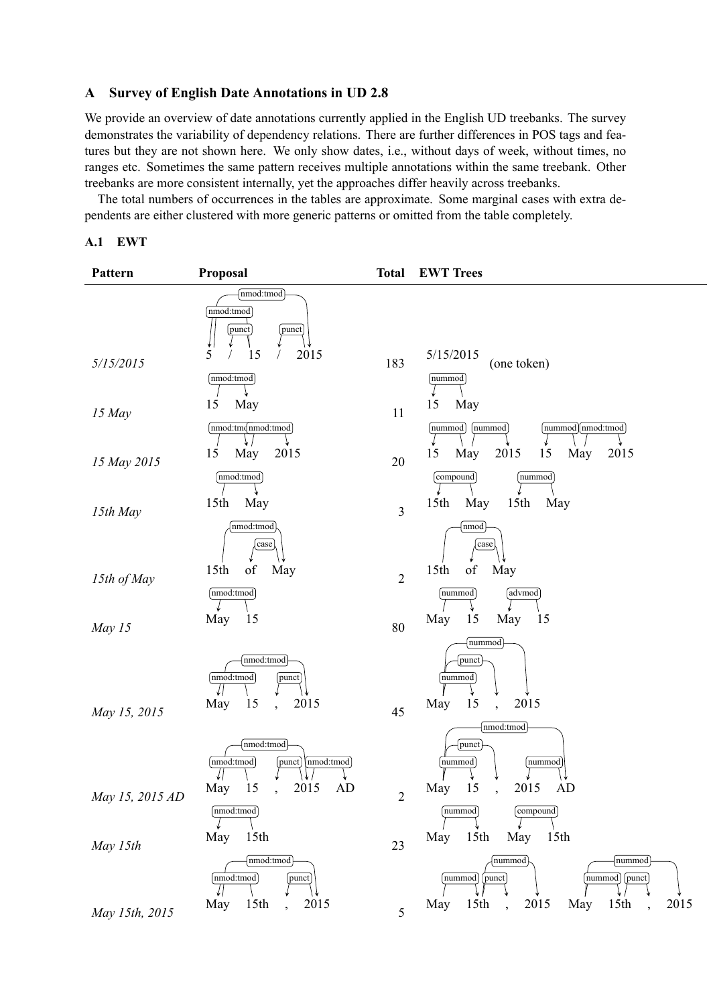# **A Survey of English Date Annotations in UD 2.8**

We provide an overview of date annotations currently applied in the English UD treebanks. The survey demonstrates the variability of dependency relations. There are further differences in POS tags and features but they are not shown here. We only show dates, i.e., without days of week, without times, no ranges etc. Sometimes the same pattern receives multiple annotations within the same treebank. Other treebanks are more consistent internally, yet the approaches differ heavily across treebanks.

The total numbers of occurrences in the tables are approximate. Some marginal cases with extra dependents are either clustered with more generic patterns or omitted from the table completely.

### **A.1 EWT**

| Pattern               | Proposal                                                                               | <b>Total</b>         | <b>EWT Trees</b>                                                                                 |
|-----------------------|----------------------------------------------------------------------------------------|----------------------|--------------------------------------------------------------------------------------------------|
| 5/15/2015             | nmod:tmod<br>nmod:tmod<br>punct<br>punct<br>5<br>2015<br>15<br>[nmod:tmod]             | 183                  | 5/15/2015<br>(one token)<br>nummod                                                               |
| 15 May                | 15<br>May<br>nmod:tmommod:tmod                                                         | 11                   | 15<br>May<br>nummod<br>(nummod) nmod:tmod)<br>nummod                                             |
| 15 May 2015           | 15<br>May<br>2015                                                                      | 20                   | 2015<br>15<br>May<br>May<br>2015<br>15                                                           |
| 15th May              | [nmod:tmod]<br>15 <sup>th</sup><br>May                                                 | 3                    | $[{\rm compound}]$<br>nummod<br>15 <sup>th</sup><br>15 <sup>th</sup><br>May<br>May               |
| 15th of May<br>May 15 | nmod:tmod<br>case<br>of<br>15 <sup>th</sup><br>May<br>[nmod:tmod]<br>May<br>15         | $\overline{2}$<br>80 | nmod<br>case<br>15th<br>May<br>of<br>nummod<br>advmod<br>15<br>May<br>May<br>15                  |
| May 15, 2015          | nmod:tmod<br>[nmod:tmod]<br>punct<br>15<br>2015<br>May                                 | 45                   | nummod<br>punct<br>nummod<br>2015<br>15<br>May<br>nmod:tmod                                      |
| May 15, 2015 AD       | nmod:tmod<br>[nmod:tmod]<br>nmod:tmod<br>punct<br>May<br>2015<br>15<br>AD<br>nmod:tmod | $\overline{c}$       | punct<br>nummod<br>nummod<br>15<br>2015<br>May<br>AD<br>[compound]<br>nummod                     |
| May 15th              | May<br>15 <sup>th</sup><br>(mmod:mod)<br> nmod:tmod<br>punct                           | 23                   | May 15th<br>May<br>15 <sup>th</sup><br>nummod<br>[nummod]<br>[nummod] [punct]<br>nummod<br>punct |
| May 15th, 2015        | 15 <sup>th</sup><br>2015<br>May<br>$\ddot{\phantom{0}}$                                | 5                    | 15 <sup>th</sup><br>2015<br>15 <sup>th</sup><br>2015<br>May<br>May<br>$\ddot{\phantom{0}}$       |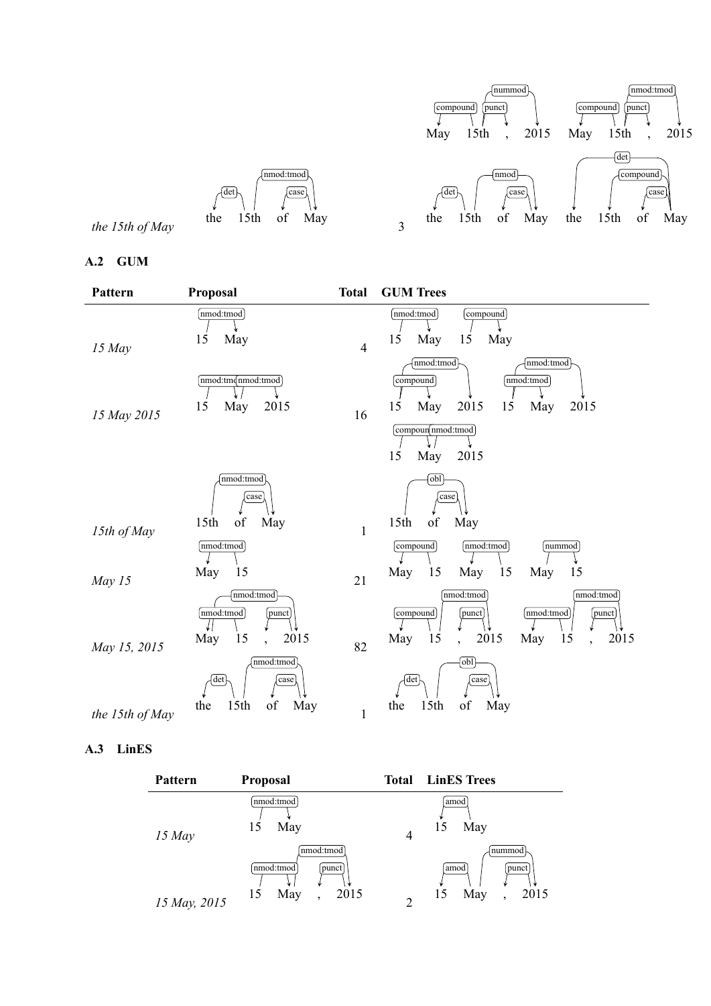

# **A.2 GUM**

| Pattern               | Proposal                                                                         | <b>Total</b>       | <b>GUM Trees</b>                                                                                                                                            |
|-----------------------|----------------------------------------------------------------------------------|--------------------|-------------------------------------------------------------------------------------------------------------------------------------------------------------|
| $15$ May              | nmod:tmod<br>15<br>May                                                           | $\overline{4}$     | nmod:tmod<br>[compound]<br>15<br>May<br>15<br>May                                                                                                           |
| 15 May 2015           | nmod:tmommod:tmod<br>15<br>2015<br>May                                           | 16                 | nmod:tmod<br>nmod:tmod<br>[nmod:tmod]<br>compound<br>2015<br>15<br>15<br>May<br>2015<br>May<br>compoun nmod:tmod                                            |
|                       |                                                                                  |                    | 15<br>May<br>2015                                                                                                                                           |
|                       | nmod:tmod<br>case<br>$\sigma f$<br>15 <sup>th</sup><br>May                       |                    | [obl]<br>case<br>$\sigma f$<br>15 <sup>th</sup><br>May                                                                                                      |
| 15th of May<br>May 15 | nmod:tmod<br>May<br>15                                                           | $\mathbf{1}$<br>21 | nmod:tmod<br>[nummod]<br>compound<br>May<br>May<br>15<br>15<br>15<br>May                                                                                    |
|                       | nmod:tmod<br>nmod:tmod<br>punct<br>15<br>2015<br>May<br>$\overline{\phantom{a}}$ |                    | nmod:tmod<br>nmod:tmod<br>nmod:tmod<br>compound<br>punct<br>punct<br>15<br>2015<br>15<br>2015<br>May<br>May<br>$\ddot{\phantom{0}}$<br>$\ddot{\phantom{0}}$ |
| May 15, 2015          | nmod:tmod<br>det<br>case                                                         | 82                 | [obl]<br>det<br>case                                                                                                                                        |
| the 15th of May       | 15th<br>of<br>May<br>the                                                         | $\mathbf{1}$       | 15th<br>of<br>May<br>the                                                                                                                                    |

# **A.3 LinES**

| Pattern      | <b>Proposal</b>                                                                  |                | <b>Total</b> LinES Trees                          |
|--------------|----------------------------------------------------------------------------------|----------------|---------------------------------------------------|
| $15$ May     | nmod:tmod<br>May<br>15                                                           | 4              | amod<br>May<br>15                                 |
| 15 May, 2015 | nmod:tmod<br>nmod:tmod<br>punct<br>2015<br>May<br>15<br>$\overline{\phantom{a}}$ | $\overline{2}$ | nummod<br>amod<br>punct<br>May<br>2015<br>15<br>٠ |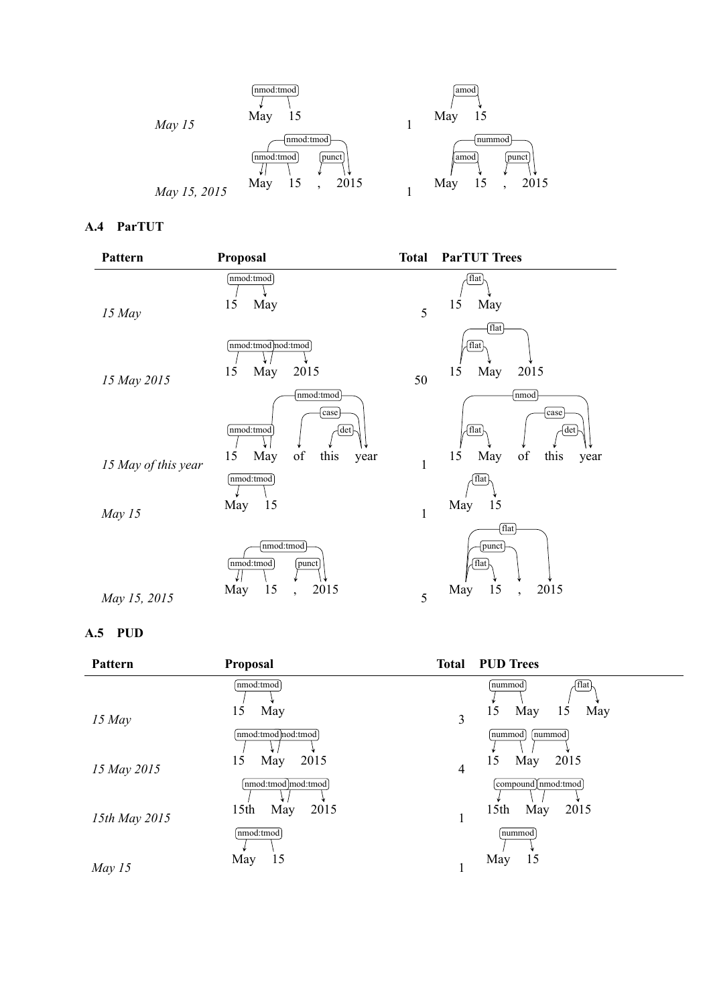

# **A.4 ParTUT**

| Pattern                       | Proposal                                                                         | <b>Total</b>      | <b>ParTUT Trees</b>                                                          |
|-------------------------------|----------------------------------------------------------------------------------|-------------------|------------------------------------------------------------------------------|
| $15$ May                      | nmod:tmod<br>15<br>May                                                           | 5                 | flat<br>15<br>May                                                            |
| 15 May 2015                   | nmod:tmod)nod:tmod)<br>15<br>May<br>2015                                         | 50                | flat<br>flat<br>15<br>May<br>2015                                            |
|                               | nmod:tmod<br>case<br>nmod:tmod<br>det<br>15<br>of<br>May<br>this                 |                   | nmod<br>$_{\rm case}$<br>flat <sup>1</sup><br>det<br>of<br>15<br>May<br>this |
| 15 May of this year<br>May 15 | year<br>$nmod:$ tmod<br>15<br>May                                                | $\mathbf{1}$<br>1 | year<br>flat<br>May 15                                                       |
| May 15, 2015                  | nmod:tmod<br>nmod:tmod<br>punct<br>15<br>2015<br>May<br>$\overline{\phantom{a}}$ | 5                 | flat<br>punct<br>flat<br>15<br>2015<br>May<br>$\overline{\phantom{a}}$       |

# **A.5 PUD**

| Pattern       | <b>Proposal</b>                         |                | <b>Total PUD Trees</b>                                              |
|---------------|-----------------------------------------|----------------|---------------------------------------------------------------------|
| $15$ May      | nmod:tmod<br>May<br>15                  | 3              | $\left\{ \mathrm{flat}\right\}$<br>nummod<br>May<br>May<br>15<br>15 |
|               | nmod:tmod nod:tmod<br>2015<br>May<br>15 |                | nummod<br>nummod<br>2015<br>May<br>15                               |
| 15 May 2015   | nmod:tmod]mod:tmod                      | $\overline{4}$ | compound [nmod:tmod]                                                |
| 15th May 2015 | 2015<br>15 <sub>th</sub><br>May         |                | 15 <sup>th</sup><br>2015<br>May                                     |
|               | nmod:tmod<br>15<br>May                  |                | nummod<br>15<br>May                                                 |
| May $15$      |                                         |                |                                                                     |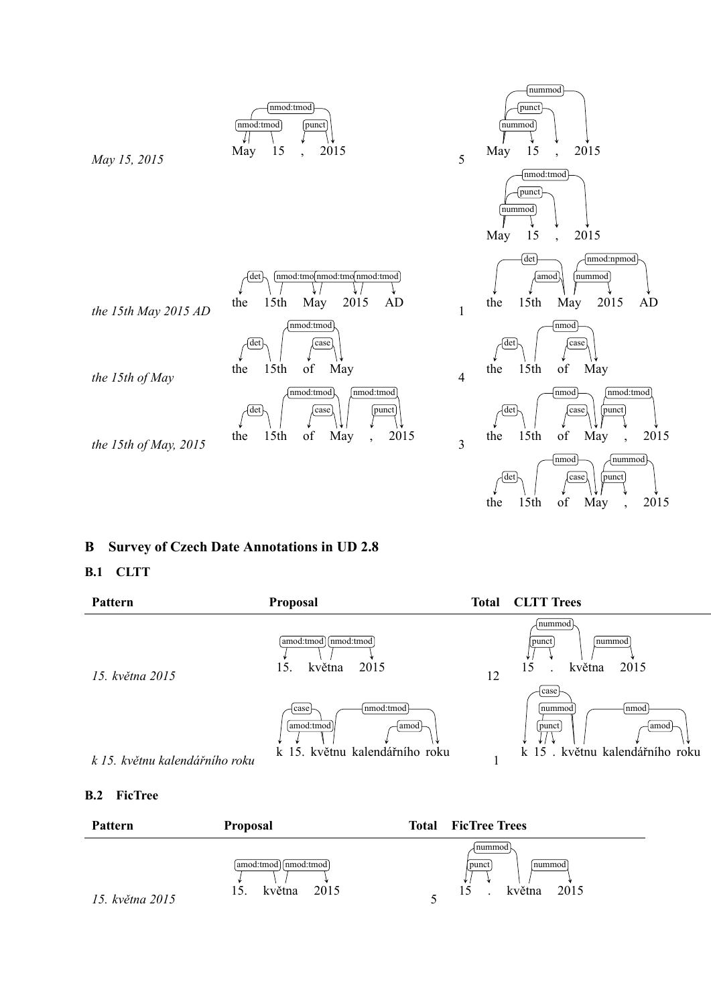

# **B Survey of Czech Date Annotations in UD 2.8**

# **B.1 CLTT**

| Pattern                        | <b>Proposal</b>                                                               | Total | <b>CLTT</b> Trees                                                            |
|--------------------------------|-------------------------------------------------------------------------------|-------|------------------------------------------------------------------------------|
| 15. května 2015                | amod:tmod] [nmod:tmod]<br>2015<br>května<br>15.                               | 12    | nummod<br>nummod<br>punct<br>15<br>května<br>2015                            |
| k 15. květnu kalendářního roku | nmod:tmod<br>case<br>[amod:tmod]<br>∣amod ⊢<br>k 15. květnu kalendářního roku |       | case<br>nmod<br>nummod<br>punct<br> amod –<br>k 15. květnu kalendářního roku |

# **B.2 FicTree**

| <b>Pattern</b>  | <b>Proposal</b>                                | Total | <b>FicTree Trees</b>                         |
|-----------------|------------------------------------------------|-------|----------------------------------------------|
| 15. května 2015 | amod:tmod  nmod:tmod <br>2015<br>května<br>15. |       | nummod<br>punct<br>Inummod<br>května<br>2015 |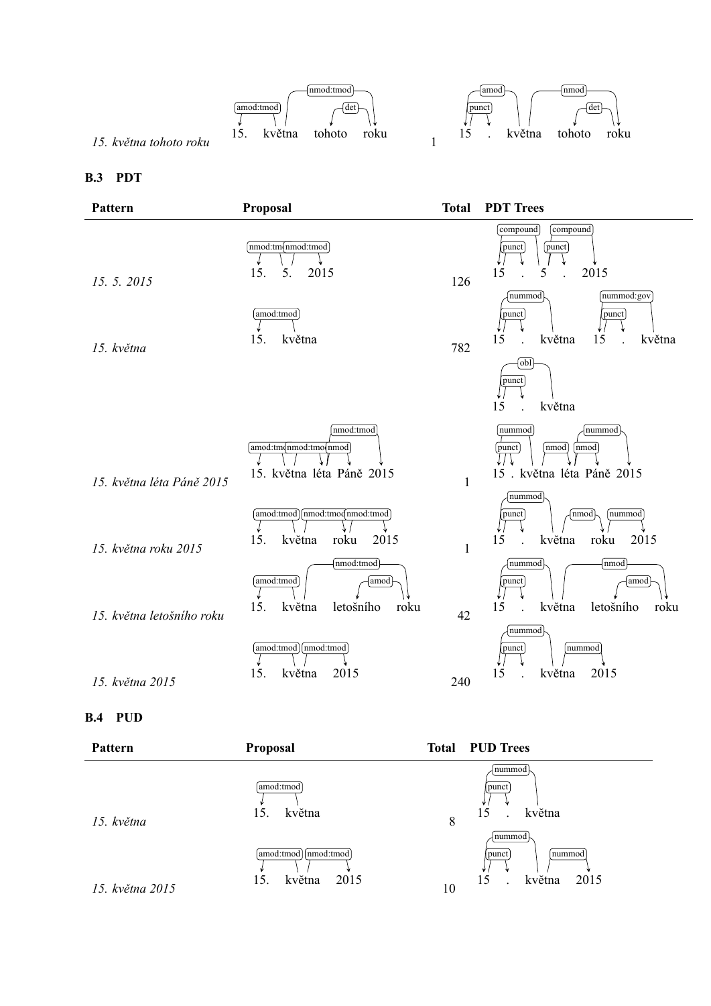

### **B.4 PUD**

| Pattern         | Proposal                                          |    | <b>Total PUD Trees</b>                             |
|-----------------|---------------------------------------------------|----|----------------------------------------------------|
| 15. května      | amod:tmod  <br>května<br>15                       | 8  | nummod<br>punct<br>května<br>15                    |
| 15. května 2015 | [nmod:tmod]<br>amod:tmod<br>května<br>2015<br>15. | 10 | nummod<br>∣nummod<br>punct<br>15<br>května<br>2015 |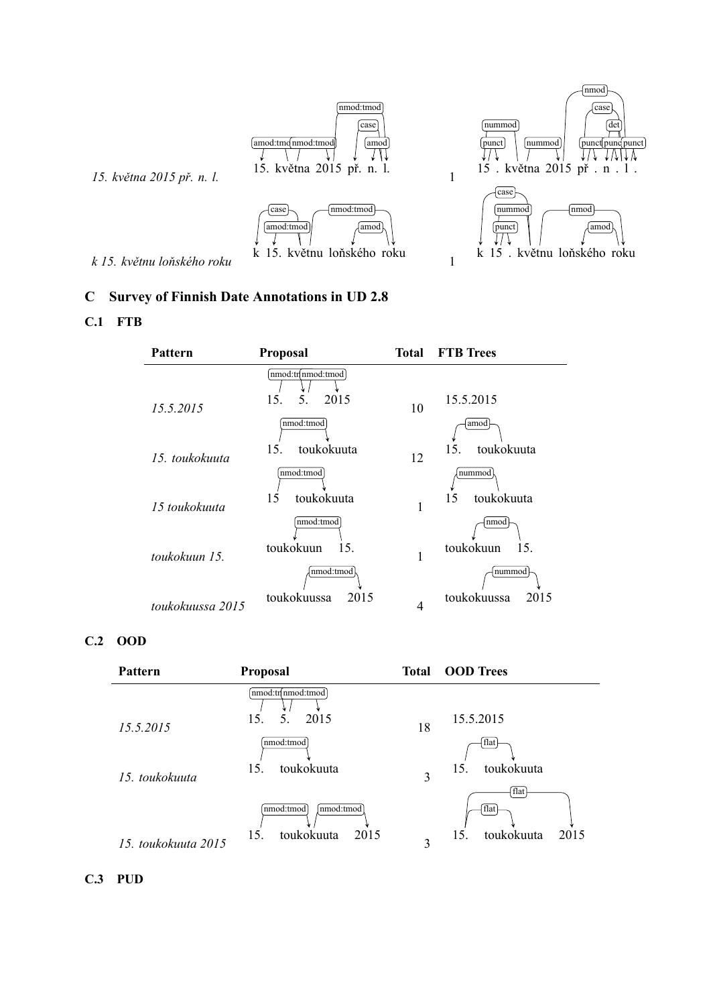

# **C Survey of Finnish Date Annotations in UD 2.8**

# **C.1 FTB**

| <b>Pattern</b>   | <b>Proposal</b>                        |    | <b>Total FTB Trees</b>     |
|------------------|----------------------------------------|----|----------------------------|
| 15.5.2015        | nmod:tn nmod:tmod<br>2015<br>5.<br>15. | 10 | 15.5.2015                  |
|                  | nmod:tmod<br>toukokuuta<br>15.         |    | amod<br>toukokuuta<br>15.  |
| 15. toukokuuta   | nmod:tmod                              | 12 | nummod                     |
| 15 toukokuuta    | 15<br>toukokuuta<br>nmod:tmod          |    | toukokuuta<br>15<br>nmod   |
| toukokuun 15.    | toukokuun<br>15.<br>nmod:tmod          |    | toukokuun<br>15.<br>nummod |
| toukokuussa 2015 | toukokuussa<br>2015                    | 4  | toukokuussa<br>2015        |

# **C.2 OOD**

| Pattern             | <b>Proposal</b>                                       |    | <b>Total OOD Trees</b>                    |
|---------------------|-------------------------------------------------------|----|-------------------------------------------|
| 15.5.2015           | [nmod:tr[nmod:tmod]<br>2015<br>5.<br>15.              | 18 | 15.5.2015                                 |
| 15. toukokuuta      | nmod:tmod<br>toukokuuta<br>15.                        | 3  | [flat]<br>toukokuuta<br>15.               |
| 15. toukokuuta 2015 | nmod:tmod<br>[nmod:tmod]<br>toukokuuta<br>2015<br>15. | 3  | flat<br>flat<br>toukokuuta<br>2015<br>15. |

**C.3 PUD**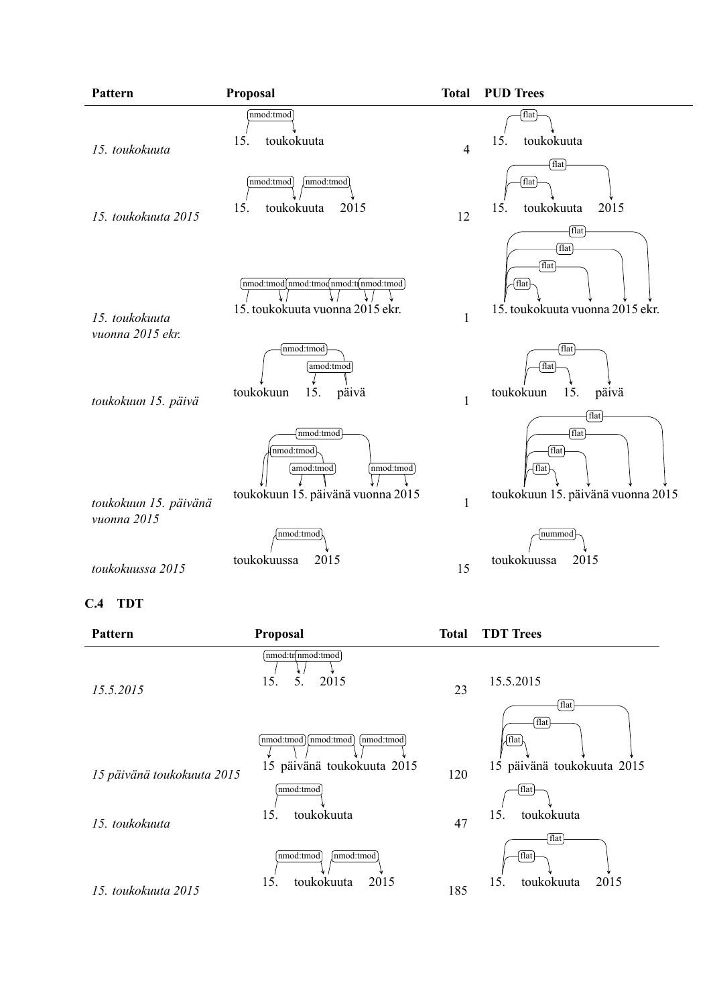

### **C.4 TDT**

| Pattern                    | <b>Proposal</b>                                                  | <b>Total</b> | <b>TDT</b> Trees                              |
|----------------------------|------------------------------------------------------------------|--------------|-----------------------------------------------|
| 15.5.2015                  | nmod:tnnmod:tmod<br>2015<br>15.<br>5.                            | 23           | 15.5.2015<br>flat                             |
| 15 päivänä toukokuuta 2015 | nmod:tmod mmod:tmod<br>[nmod:tmod]<br>15 päivänä toukokuuta 2015 | 120          | flat<br>√flat l<br>15 päivänä toukokuuta 2015 |
| 15. toukokuuta             | nmod:tmod<br>toukokuuta<br>15.                                   | 47           | flat<br>toukokuuta<br>15.                     |
| 15. toukokuuta 2015        | nmod:tmod<br>nmod:tmod<br>toukokuuta<br>2015<br>15.              | 185          | flat<br>flat<br>toukokuuta<br>15.<br>2015     |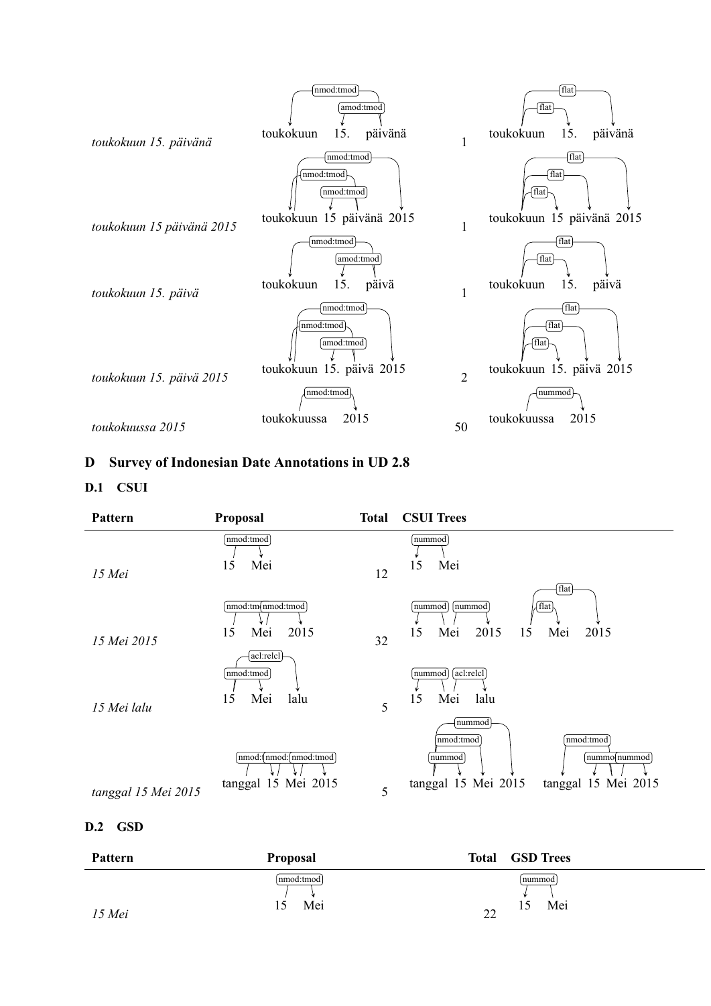

# **D Survey of Indonesian Date Annotations in UD 2.8**

# **D.1 CSUI**

| Pattern             | Proposal                                         | <b>Total</b> | <b>CSUI Trees</b>                                                                                        |
|---------------------|--------------------------------------------------|--------------|----------------------------------------------------------------------------------------------------------|
| 15 Mei              | nmod:tmod<br>15<br>Mei                           | 12           | nummod<br>Mei<br>15                                                                                      |
| 15 Mei 2015         | nmod:tm(nmod:tmod)<br>2015<br>15<br>Mei          | 32           | flat<br>[flat]<br>nummod<br>nummod<br>Mei<br>2015<br>15<br>2015<br>15<br>Mei                             |
| 15 Mei lalu         | acl:relcl<br>nmod:tmod<br>Mei<br>15<br>lalu      | 5            | acl:relcl<br>nummod<br>Mei<br>15<br>lalu                                                                 |
|                     | nmod: (nmod: (nmod: tmod)<br>tanggal 15 Mei 2015 |              | nummod<br>nmod:tmod<br>nmod:tmod<br>nummod<br>nummo nummod<br>tanggal 15 Mei 2015<br>tanggal 15 Mei 2015 |
| tanggal 15 Mei 2015 |                                                  | 5            |                                                                                                          |

# **D.2 GSD**

| Pattern | <b>Proposal</b>         | <b>GSD Trees</b><br><b>Total</b> |
|---------|-------------------------|----------------------------------|
| 15 Mei  | nmod:tmod <br>Mei<br>10 | nummod<br>Mei<br>$\mathcal{L}$   |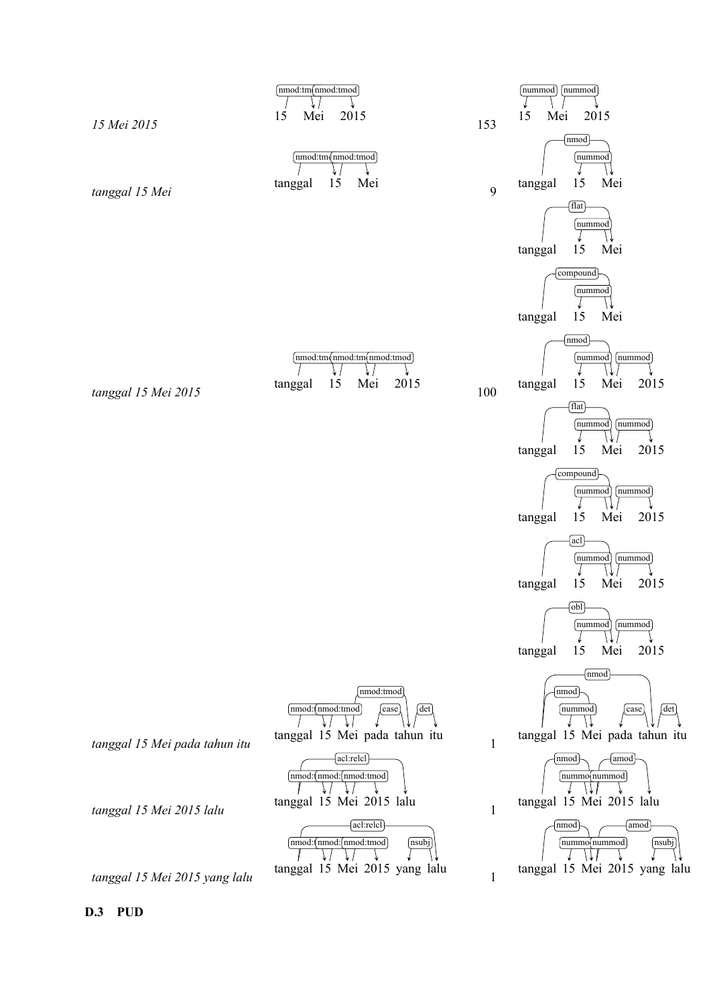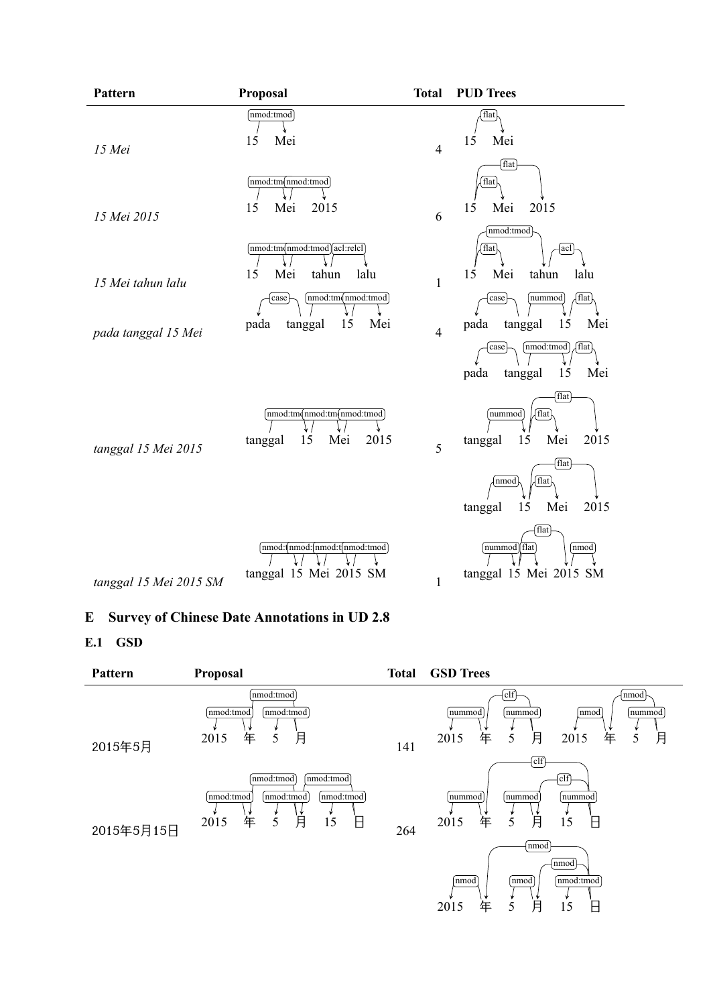| Pattern                | Proposal                                                                                 | <b>Total</b>   | <b>PUD Trees</b>                                                                   |
|------------------------|------------------------------------------------------------------------------------------|----------------|------------------------------------------------------------------------------------|
| 15 Mei                 | nmod:tmod<br>15<br>Mei                                                                   | $\overline{4}$ | [flat]<br>15<br>Mei                                                                |
| 15 Mei 2015            | $[\text{nmod:tm(mnd:tmod)}]$<br>15<br>Mei<br>2015                                        | 6              | flat<br>flat<br>2015<br>15<br>Mei                                                  |
| 15 Mei tahun lalu      | nmod:tm(nmod:tmod)acl:relel<br>Mei<br>15<br>tahun<br>lalu<br>(mmod:tmqnmod:tmod)<br>case | $\mathbf{1}$   | nmod:tmod<br>[flat]<br>acl<br>Mei<br>15<br>tahun<br>lalu<br>flat<br>case<br>nummod |
| pada tanggal 15 Mei    | 15<br>pada<br>Mei<br>tanggal                                                             | $\overline{4}$ | 15<br>pada<br>tanggal<br>Mei<br>[nmod:tmod]<br>flat<br>case                        |
|                        |                                                                                          |                | 15<br>pada<br>Mei<br>tanggal<br>flat <sup>1</sup>                                  |
| tanggal 15 Mei 2015    | [nmod:tm(nmod:tm(nmod:tmod]<br>15<br>2015<br>Mei<br>tanggal                              | 5              | nummod<br>  flat<br>15<br>Mei<br>2015<br>tanggal                                   |
|                        |                                                                                          |                | flat<br>  flat<br>nmod<br>15<br>Mei<br>2015<br>tanggal                             |
| tanggal 15 Mei 2015 SM | [nmod:(nmod:(nmod:t(nmod:tmod)<br>tanggal 15 Mei 2015 SM                                 | $\mathbf{1}$   | flat<br>nummod flat<br>nmod<br>tanggal 15 Mei 2015 SM                              |

# **E Survey of Chinese Date Annotations in UD 2.8**

# **E.1 GSD**

| Pattern    | Proposal                                                                                                                | <b>Total</b> | <b>GSD Trees</b>                                                                                    |
|------------|-------------------------------------------------------------------------------------------------------------------------|--------------|-----------------------------------------------------------------------------------------------------|
| 2015年5月    | nmod:tmod<br> nmod:tmod <br>nmod:tmod<br>月<br>5<br>2015<br>年                                                            | 141          | $ $ clf<br>nmod<br>nummod<br>nummod<br>nummod<br>nmod<br>月<br>5<br>月<br>2015<br>年<br>5<br>2015<br>年 |
| 2015年5月15日 | nmod:tmod<br>nmod:tmod<br>[nmod:tmod]<br>nmod:tmod<br>nmod:tmod<br>月<br>年<br>2015<br>$\overline{\mathsf{H}}$<br>5<br>15 | 264          | $\overline{\text{clf}}$<br>clf<br>nummod<br>nummod<br>nummod<br>月<br>年<br>2015<br>5<br>Β<br>15      |
|            |                                                                                                                         |              | Inmod<br>nmod<br>nmod:tmod<br>nmod<br> nmod<br>月<br>5<br>2015<br>年<br>15<br>Β                       |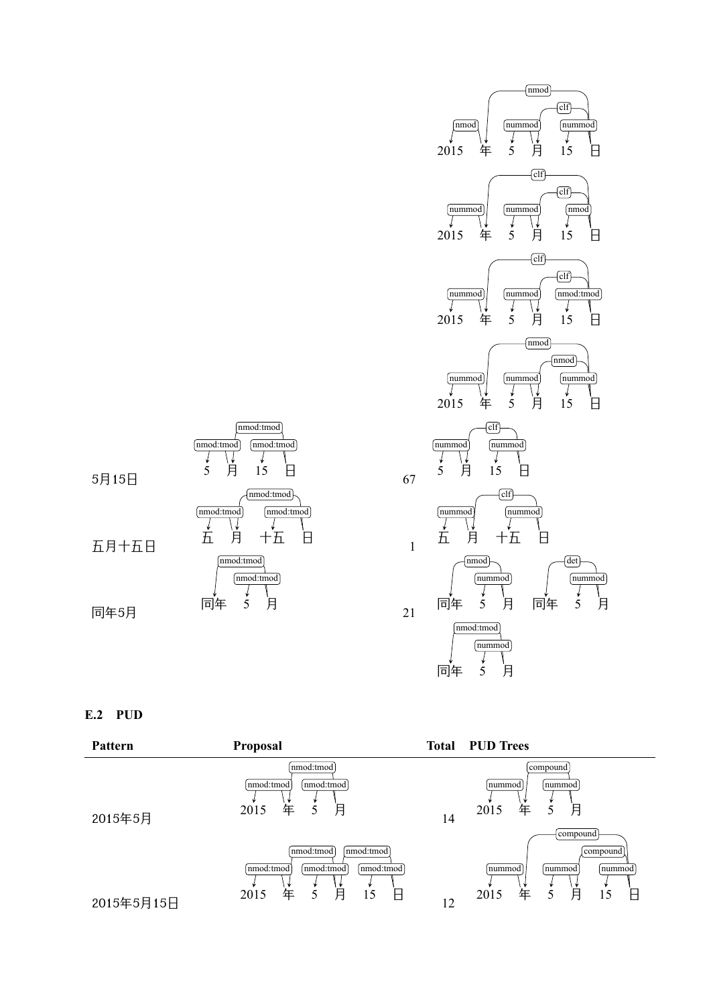



# **E.2 PUD**